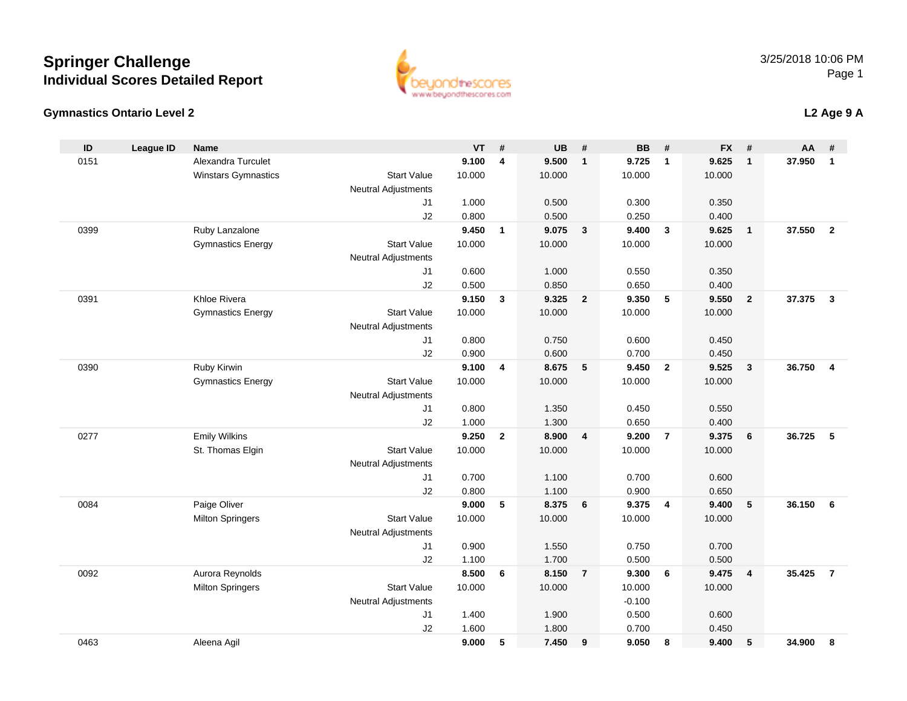### **Gymnastics Ontario Level 2**

0463

| ID   | League ID | <b>Name</b>                |                            | VT     | #              | UB     | #               | BB       | #                       | <b>FX</b> | #                       | AA     | #              |
|------|-----------|----------------------------|----------------------------|--------|----------------|--------|-----------------|----------|-------------------------|-----------|-------------------------|--------|----------------|
| 0151 |           | Alexandra Turculet         |                            | 9.100  | $\overline{4}$ | 9.500  | $\mathbf{1}$    | 9.725    | $\overline{1}$          | 9.625     | $\mathbf{1}$            | 37.950 | $\overline{1}$ |
|      |           | <b>Winstars Gymnastics</b> | <b>Start Value</b>         | 10.000 |                | 10.000 |                 | 10.000   |                         | 10.000    |                         |        |                |
|      |           |                            | <b>Neutral Adjustments</b> |        |                |        |                 |          |                         |           |                         |        |                |
|      |           |                            | J1                         | 1.000  |                | 0.500  |                 | 0.300    |                         | 0.350     |                         |        |                |
|      |           |                            | J2                         | 0.800  |                | 0.500  |                 | 0.250    |                         | 0.400     |                         |        |                |
| 0399 |           | Ruby Lanzalone             |                            | 9.450  | $\mathbf{1}$   | 9.075  | $\mathbf{3}$    | 9.400    | $\mathbf{3}$            | 9.625     | $\overline{\mathbf{1}}$ | 37.550 | $\overline{2}$ |
|      |           | <b>Gymnastics Energy</b>   | <b>Start Value</b>         | 10.000 |                | 10.000 |                 | 10.000   |                         | 10.000    |                         |        |                |
|      |           |                            | <b>Neutral Adjustments</b> |        |                |        |                 |          |                         |           |                         |        |                |
|      |           |                            | J1                         | 0.600  |                | 1.000  |                 | 0.550    |                         | 0.350     |                         |        |                |
|      |           |                            | J2                         | 0.500  |                | 0.850  |                 | 0.650    |                         | 0.400     |                         |        |                |
| 0391 |           | Khloe Rivera               |                            | 9.150  | 3              | 9.325  | $\overline{2}$  | 9.350    | 5                       | 9.550     | $\overline{\mathbf{2}}$ | 37.375 | $\mathbf{3}$   |
|      |           | <b>Gymnastics Energy</b>   | <b>Start Value</b>         | 10.000 |                | 10.000 |                 | 10.000   |                         | 10.000    |                         |        |                |
|      |           |                            | Neutral Adjustments        |        |                |        |                 |          |                         |           |                         |        |                |
|      |           |                            | J1                         | 0.800  |                | 0.750  |                 | 0.600    |                         | 0.450     |                         |        |                |
|      |           |                            | J2                         | 0.900  |                | 0.600  |                 | 0.700    |                         | 0.450     |                         |        |                |
| 0390 |           | Ruby Kirwin                |                            | 9.100  | 4              | 8.675  | 5               | 9.450    | $\overline{2}$          | 9.525     | $\mathbf{3}$            | 36.750 | $\overline{4}$ |
|      |           | <b>Gymnastics Energy</b>   | <b>Start Value</b>         | 10.000 |                | 10.000 |                 | 10.000   |                         | 10.000    |                         |        |                |
|      |           |                            | <b>Neutral Adjustments</b> |        |                |        |                 |          |                         |           |                         |        |                |
|      |           |                            | J1                         | 0.800  |                | 1.350  |                 | 0.450    |                         | 0.550     |                         |        |                |
|      |           |                            | J2                         | 1.000  |                | 1.300  |                 | 0.650    |                         | 0.400     |                         |        |                |
| 0277 |           | <b>Emily Wilkins</b>       |                            | 9.250  | $\mathbf{2}$   | 8.900  | $\overline{4}$  | 9.200    | $\overline{7}$          | 9.375     | 6                       | 36.725 | -5             |
|      |           | St. Thomas Elgin           | <b>Start Value</b>         | 10.000 |                | 10.000 |                 | 10.000   |                         | 10.000    |                         |        |                |
|      |           |                            | <b>Neutral Adjustments</b> |        |                |        |                 |          |                         |           |                         |        |                |
|      |           |                            | J1                         | 0.700  |                | 1.100  |                 | 0.700    |                         | 0.600     |                         |        |                |
|      |           |                            | J2                         | 0.800  |                | 1.100  |                 | 0.900    |                         | 0.650     |                         |        |                |
| 0084 |           | Paige Oliver               |                            | 9.000  | 5              | 8.375  | $6\overline{6}$ | 9.375    | $\overline{\mathbf{4}}$ | 9.400     | $5\phantom{.0}$         | 36.150 | - 6            |
|      |           | <b>Milton Springers</b>    | <b>Start Value</b>         | 10.000 |                | 10.000 |                 | 10.000   |                         | 10.000    |                         |        |                |
|      |           |                            | <b>Neutral Adjustments</b> |        |                |        |                 |          |                         |           |                         |        |                |
|      |           |                            | J1                         | 0.900  |                | 1.550  |                 | 0.750    |                         | 0.700     |                         |        |                |
|      |           |                            | J2                         | 1.100  |                | 1.700  |                 | 0.500    |                         | 0.500     |                         |        |                |
| 0092 |           | Aurora Reynolds            |                            | 8.500  | 6              | 8.150  | $\overline{7}$  | 9.300    | 6                       | 9.475     | $\overline{\mathbf{4}}$ | 35.425 | $\overline{7}$ |
|      |           | <b>Milton Springers</b>    | <b>Start Value</b>         | 10.000 |                | 10.000 |                 | 10.000   |                         | 10.000    |                         |        |                |
|      |           |                            | <b>Neutral Adjustments</b> |        |                |        |                 | $-0.100$ |                         |           |                         |        |                |
|      |           |                            | J1                         | 1.400  |                | 1.900  |                 | 0.500    |                         | 0.600     |                         |        |                |
|      |           |                            | J2                         | 1.600  |                | 1.800  |                 | 0.700    |                         | 0.450     |                         |        |                |
|      |           |                            |                            |        |                |        |                 |          |                         |           |                         |        |                |

Aleena Agil **9.000 <sup>5</sup> 7.450 <sup>9</sup> 9.050 <sup>8</sup> 9.400 <sup>5</sup> 34.900 <sup>8</sup>**



**L2 Age 9 A**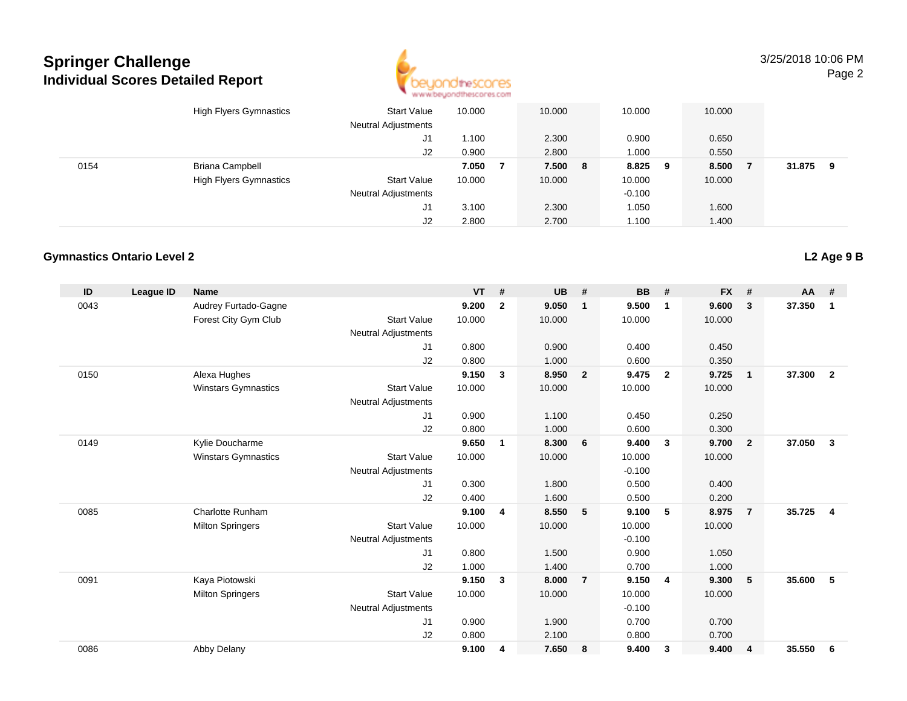

3/25/2018 10:06 PMPage 2

|      | <b>High Flyers Gymnastics</b> | <b>Start Value</b><br><b>Neutral Adjustments</b> | 10.000 | 10.000  | 10.000   |     | 10.000 |        |    |
|------|-------------------------------|--------------------------------------------------|--------|---------|----------|-----|--------|--------|----|
|      |                               | J1                                               | 1.100  | 2.300   | 0.900    |     | 0.650  |        |    |
|      |                               | J2                                               | 0.900  | 2.800   | 1.000    |     | 0.550  |        |    |
| 0154 | <b>Briana Campbell</b>        |                                                  | 7.050  | 7.500 8 | 8.825    | - 9 | 8.500  | 31.875 | -9 |
|      | <b>High Flyers Gymnastics</b> | <b>Start Value</b>                               | 10.000 | 10.000  | 10.000   |     | 10.000 |        |    |
|      |                               | <b>Neutral Adjustments</b>                       |        |         | $-0.100$ |     |        |        |    |
|      |                               | J1                                               | 3.100  | 2.300   | 1.050    |     | 1.600  |        |    |
|      |                               | J2                                               | 2.800  | 2.700   | 1.100    |     | 1.400  |        |    |

### **Gymnastics Ontario Level 2**

| ID   | <b>League ID</b> | <b>Name</b>                |                            | VT     | #              | <b>UB</b> | #                       | <b>BB</b> | #              | <b>FX</b> | #              | $AA$ # |                |
|------|------------------|----------------------------|----------------------------|--------|----------------|-----------|-------------------------|-----------|----------------|-----------|----------------|--------|----------------|
| 0043 |                  | Audrey Furtado-Gagne       |                            | 9.200  | $\overline{2}$ | 9.050     | $\overline{\mathbf{1}}$ | 9.500     | $\mathbf{1}$   | 9.600     | 3              | 37.350 | $\mathbf{1}$   |
|      |                  | Forest City Gym Club       | <b>Start Value</b>         | 10.000 |                | 10.000    |                         | 10.000    |                | 10.000    |                |        |                |
|      |                  |                            | <b>Neutral Adjustments</b> |        |                |           |                         |           |                |           |                |        |                |
|      |                  |                            | J1                         | 0.800  |                | 0.900     |                         | 0.400     |                | 0.450     |                |        |                |
|      |                  |                            | J2                         | 0.800  |                | 1.000     |                         | 0.600     |                | 0.350     |                |        |                |
| 0150 |                  | Alexa Hughes               |                            | 9.150  | $\mathbf{3}$   | 8.950     | $\overline{\mathbf{2}}$ | 9.475     | $\overline{2}$ | 9.725     | $\mathbf{1}$   | 37.300 | $\overline{2}$ |
|      |                  | <b>Winstars Gymnastics</b> | <b>Start Value</b>         | 10.000 |                | 10.000    |                         | 10.000    |                | 10.000    |                |        |                |
|      |                  |                            | <b>Neutral Adjustments</b> |        |                |           |                         |           |                |           |                |        |                |
|      |                  |                            | J1                         | 0.900  |                | 1.100     |                         | 0.450     |                | 0.250     |                |        |                |
|      |                  |                            | J2                         | 0.800  |                | 1.000     |                         | 0.600     |                | 0.300     |                |        |                |
| 0149 |                  | Kylie Doucharme            |                            | 9.650  | 1              | 8.300     | 6                       | 9.400     | $\mathbf{3}$   | 9.700     | $\overline{2}$ | 37.050 | $\mathbf{3}$   |
|      |                  | <b>Winstars Gymnastics</b> | <b>Start Value</b>         | 10.000 |                | 10.000    |                         | 10.000    |                | 10.000    |                |        |                |
|      |                  |                            | <b>Neutral Adjustments</b> |        |                |           |                         | $-0.100$  |                |           |                |        |                |
|      |                  |                            | J1                         | 0.300  |                | 1.800     |                         | 0.500     |                | 0.400     |                |        |                |
|      |                  |                            | J2                         | 0.400  |                | 1.600     |                         | 0.500     |                | 0.200     |                |        |                |
| 0085 |                  | <b>Charlotte Runham</b>    |                            | 9.100  | 4              | 8.550     | 5                       | 9.100     | 5              | 8.975     | $\overline{7}$ | 35.725 | $\overline{4}$ |
|      |                  | <b>Milton Springers</b>    | <b>Start Value</b>         | 10.000 |                | 10.000    |                         | 10.000    |                | 10.000    |                |        |                |
|      |                  |                            | <b>Neutral Adjustments</b> |        |                |           |                         | $-0.100$  |                |           |                |        |                |
|      |                  |                            | J1                         | 0.800  |                | 1.500     |                         | 0.900     |                | 1.050     |                |        |                |
|      |                  |                            | J2                         | 1.000  |                | 1.400     |                         | 0.700     |                | 1.000     |                |        |                |
| 0091 |                  | Kaya Piotowski             |                            | 9.150  | 3              | 8.000     | $\overline{7}$          | 9.150     | $\overline{4}$ | 9.300     | 5              | 35,600 | 5              |
|      |                  | <b>Milton Springers</b>    | <b>Start Value</b>         | 10.000 |                | 10.000    |                         | 10.000    |                | 10.000    |                |        |                |
|      |                  |                            | <b>Neutral Adjustments</b> |        |                |           |                         | $-0.100$  |                |           |                |        |                |
|      |                  |                            | J1                         | 0.900  |                | 1.900     |                         | 0.700     |                | 0.700     |                |        |                |
|      |                  |                            | J2                         | 0.800  |                | 2.100     |                         | 0.800     |                | 0.700     |                |        |                |
| 0086 |                  | Abby Delany                |                            | 9.100  | 4              | 7.650     | 8                       | 9.400     | 3              | 9.400     | 4              | 35.550 | 6              |

### **L2 Age 9 B**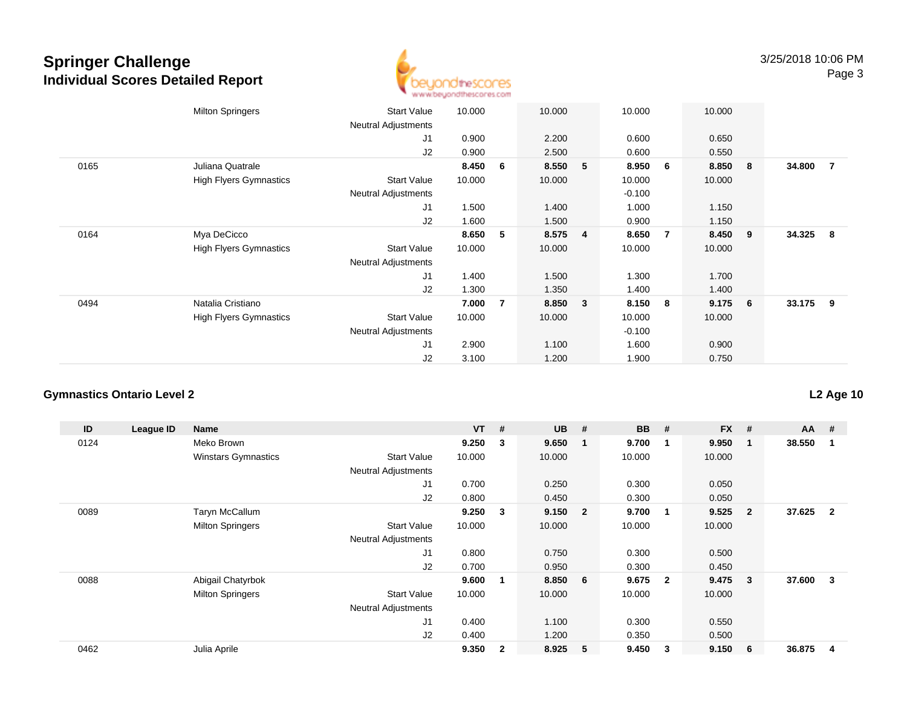

|      | <b>Milton Springers</b>       | <b>Start Value</b><br><b>Neutral Adjustments</b> | 10.000 |                | 10.000 |                | 10.000   |   | 10.000 |   |          |                |
|------|-------------------------------|--------------------------------------------------|--------|----------------|--------|----------------|----------|---|--------|---|----------|----------------|
|      |                               | J1                                               | 0.900  |                | 2.200  |                | 0.600    |   | 0.650  |   |          |                |
|      |                               | J2                                               | 0.900  |                | 2.500  |                | 0.600    |   | 0.550  |   |          |                |
| 0165 | Juliana Quatrale              |                                                  | 8.450  | 6              | 8.550  | 5              | 8.950    | 6 | 8.850  | 8 | 34.800   | $\overline{7}$ |
|      | <b>High Flyers Gymnastics</b> | <b>Start Value</b>                               | 10.000 |                | 10.000 |                | 10.000   |   | 10.000 |   |          |                |
|      |                               | Neutral Adjustments                              |        |                |        |                | $-0.100$ |   |        |   |          |                |
|      |                               | J <sub>1</sub>                                   | 1.500  |                | 1.400  |                | 1.000    |   | 1.150  |   |          |                |
|      |                               | J2                                               | 1.600  |                | 1.500  |                | 0.900    |   | 1.150  |   |          |                |
| 0164 | Mya DeCicco                   |                                                  | 8.650  | 5              | 8.575  | $\overline{4}$ | 8.650    | 7 | 8.450  | 9 | 34.325 8 |                |
|      | <b>High Flyers Gymnastics</b> | <b>Start Value</b>                               | 10.000 |                | 10.000 |                | 10.000   |   | 10.000 |   |          |                |
|      |                               | <b>Neutral Adjustments</b>                       |        |                |        |                |          |   |        |   |          |                |
|      |                               | J1                                               | 1.400  |                | 1.500  |                | 1.300    |   | 1.700  |   |          |                |
|      |                               | J2                                               | 1.300  |                | 1.350  |                | 1.400    |   | 1.400  |   |          |                |
| 0494 | Natalia Cristiano             |                                                  | 7.000  | $\overline{7}$ | 8.850  | 3              | 8.150    | 8 | 9.175  | 6 | 33.175 9 |                |
|      | <b>High Flyers Gymnastics</b> | <b>Start Value</b>                               | 10.000 |                | 10.000 |                | 10.000   |   | 10.000 |   |          |                |
|      |                               | <b>Neutral Adjustments</b>                       |        |                |        |                | $-0.100$ |   |        |   |          |                |
|      |                               | J1                                               | 2.900  |                | 1.100  |                | 1.600    |   | 0.900  |   |          |                |
|      |                               | J2                                               | 3.100  |                | 1.200  |                | 1.900    |   | 0.750  |   |          |                |

### **Gymnastics Ontario Level 2**

| ID   | League ID | <b>Name</b>                |                            | $VT$ # |                         | <b>UB</b> | #                       | <b>BB</b> | #              | <b>FX</b> | #              | $AA$ # |                |
|------|-----------|----------------------------|----------------------------|--------|-------------------------|-----------|-------------------------|-----------|----------------|-----------|----------------|--------|----------------|
| 0124 |           | Meko Brown                 |                            | 9.250  | $\overline{\mathbf{3}}$ | 9.650     | $\blacksquare$          | 9.700     | -1             | 9.950     |                | 38.550 |                |
|      |           | <b>Winstars Gymnastics</b> | <b>Start Value</b>         | 10.000 |                         | 10.000    |                         | 10.000    |                | 10.000    |                |        |                |
|      |           |                            | <b>Neutral Adjustments</b> |        |                         |           |                         |           |                |           |                |        |                |
|      |           |                            | J1                         | 0.700  |                         | 0.250     |                         | 0.300     |                | 0.050     |                |        |                |
|      |           |                            | J2                         | 0.800  |                         | 0.450     |                         | 0.300     |                | 0.050     |                |        |                |
| 0089 |           | Taryn McCallum             |                            | 9.250  | $\mathbf{3}$            | 9.150     | $\overline{\mathbf{2}}$ | 9.700     | $\mathbf 1$    | 9.525     | $\overline{2}$ | 37.625 | $\overline{2}$ |
|      |           | <b>Milton Springers</b>    | <b>Start Value</b>         | 10.000 |                         | 10.000    |                         | 10.000    |                | 10.000    |                |        |                |
|      |           |                            | <b>Neutral Adjustments</b> |        |                         |           |                         |           |                |           |                |        |                |
|      |           |                            | J1                         | 0.800  |                         | 0.750     |                         | 0.300     |                | 0.500     |                |        |                |
|      |           |                            | J2                         | 0.700  |                         | 0.950     |                         | 0.300     |                | 0.450     |                |        |                |
| 0088 |           | Abigail Chatyrbok          |                            | 9.600  |                         | 8.850     | - 6                     | 9.675     | $\overline{2}$ | 9.475     | 3              | 37.600 | 3              |
|      |           | <b>Milton Springers</b>    | <b>Start Value</b>         | 10.000 |                         | 10.000    |                         | 10.000    |                | 10.000    |                |        |                |
|      |           |                            | <b>Neutral Adjustments</b> |        |                         |           |                         |           |                |           |                |        |                |
|      |           |                            | J <sub>1</sub>             | 0.400  |                         | 1.100     |                         | 0.300     |                | 0.550     |                |        |                |
|      |           |                            | J2                         | 0.400  |                         | 1.200     |                         | 0.350     |                | 0.500     |                |        |                |
| 0462 |           | Julia Aprile               |                            | 9.350  | $\mathbf{2}$            | 8.925     | -5                      | 9.450     | 3              | 9.150     | 6              | 36.875 | 4              |

**L2 Age 10**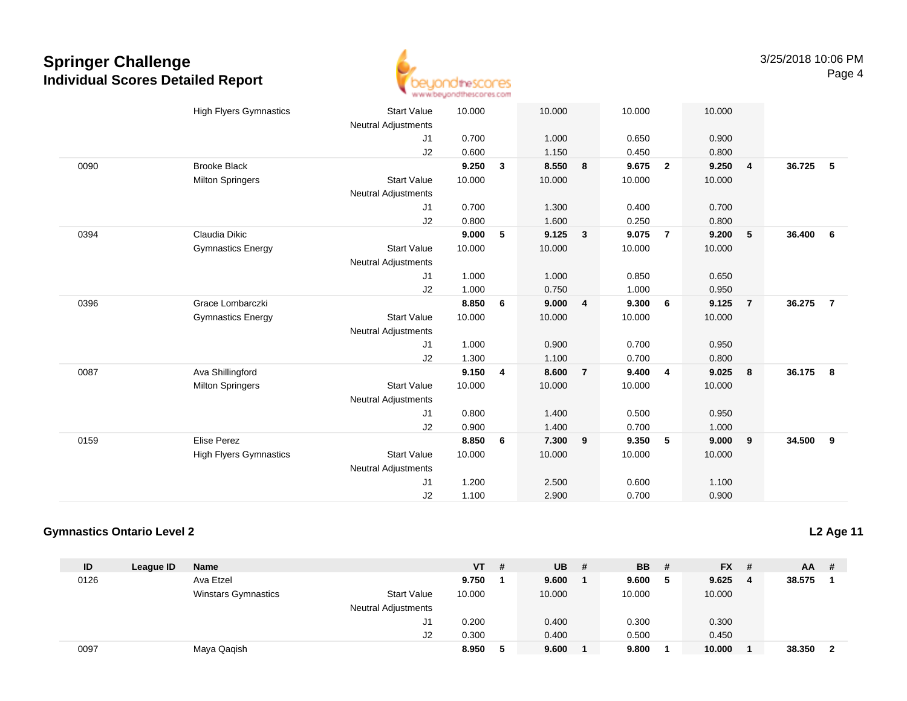

|      | <b>High Flyers Gymnastics</b> | <b>Start Value</b><br><b>Neutral Adjustments</b> | 10.000 |              | 10.000 |                | 10.000 |                | 10.000 |                |        |                |
|------|-------------------------------|--------------------------------------------------|--------|--------------|--------|----------------|--------|----------------|--------|----------------|--------|----------------|
|      |                               | J1                                               | 0.700  |              | 1.000  |                | 0.650  |                | 0.900  |                |        |                |
|      |                               | J2                                               | 0.600  |              | 1.150  |                | 0.450  |                | 0.800  |                |        |                |
| 0090 | <b>Brooke Black</b>           |                                                  | 9.250  | $\mathbf{3}$ | 8.550  | 8              | 9.675  | $\overline{2}$ | 9.250  | $\overline{4}$ | 36.725 | - 5            |
|      | <b>Milton Springers</b>       | <b>Start Value</b>                               | 10.000 |              | 10.000 |                | 10.000 |                | 10.000 |                |        |                |
|      |                               | <b>Neutral Adjustments</b>                       |        |              |        |                |        |                |        |                |        |                |
|      |                               | J1                                               | 0.700  |              | 1.300  |                | 0.400  |                | 0.700  |                |        |                |
|      |                               | J2                                               | 0.800  |              | 1.600  |                | 0.250  |                | 0.800  |                |        |                |
| 0394 | Claudia Dikic                 |                                                  | 9.000  | 5            | 9.125  | $\mathbf{3}$   | 9.075  | $\overline{7}$ | 9.200  | $5\phantom{1}$ | 36.400 | - 6            |
|      | <b>Gymnastics Energy</b>      | <b>Start Value</b>                               | 10.000 |              | 10.000 |                | 10.000 |                | 10.000 |                |        |                |
|      |                               | <b>Neutral Adjustments</b>                       |        |              |        |                |        |                |        |                |        |                |
|      |                               | J1                                               | 1.000  |              | 1.000  |                | 0.850  |                | 0.650  |                |        |                |
|      |                               | J2                                               | 1.000  |              | 0.750  |                | 1.000  |                | 0.950  |                |        |                |
| 0396 | Grace Lombarczki              |                                                  | 8.850  | 6            | 9.000  | $\overline{4}$ | 9.300  | 6              | 9.125  | $\overline{7}$ | 36.275 | $\overline{7}$ |
|      | <b>Gymnastics Energy</b>      | <b>Start Value</b>                               | 10.000 |              | 10.000 |                | 10.000 |                | 10.000 |                |        |                |
|      |                               | <b>Neutral Adjustments</b>                       |        |              |        |                |        |                |        |                |        |                |
|      |                               | J1                                               | 1.000  |              | 0.900  |                | 0.700  |                | 0.950  |                |        |                |
|      |                               | J2                                               | 1.300  |              | 1.100  |                | 0.700  |                | 0.800  |                |        |                |
| 0087 | Ava Shillingford              |                                                  | 9.150  | 4            | 8.600  | $\overline{7}$ | 9.400  | $\overline{4}$ | 9.025  | 8              | 36.175 | - 8            |
|      | <b>Milton Springers</b>       | <b>Start Value</b>                               | 10.000 |              | 10.000 |                | 10.000 |                | 10.000 |                |        |                |
|      |                               | <b>Neutral Adjustments</b>                       |        |              |        |                |        |                |        |                |        |                |
|      |                               | J1                                               | 0.800  |              | 1.400  |                | 0.500  |                | 0.950  |                |        |                |
|      |                               | J2                                               | 0.900  |              | 1.400  |                | 0.700  |                | 1.000  |                |        |                |
| 0159 | <b>Elise Perez</b>            |                                                  | 8.850  | 6            | 7.300  | 9              | 9.350  | 5              | 9.000  | 9              | 34.500 | 9              |
|      | <b>High Flyers Gymnastics</b> | <b>Start Value</b>                               | 10.000 |              | 10.000 |                | 10.000 |                | 10.000 |                |        |                |
|      |                               | <b>Neutral Adjustments</b>                       |        |              |        |                |        |                |        |                |        |                |
|      |                               | J1                                               | 1.200  |              | 2.500  |                | 0.600  |                | 1.100  |                |        |                |
|      |                               | J2                                               | 1.100  |              | 2.900  |                | 0.700  |                | 0.900  |                |        |                |

### **Gymnastics Ontario Level 2**

**L2 Age 11**

| ID   | League ID | <b>Name</b>                |                            | <b>VT</b> | # | <b>UB</b> | # | <b>BB</b> | -# | $FX$ # |   | $AA$ # |                         |
|------|-----------|----------------------------|----------------------------|-----------|---|-----------|---|-----------|----|--------|---|--------|-------------------------|
| 0126 |           | Ava Etzel                  |                            | 9.750     |   | 9.600     |   | 9.600     | 5  | 9.625  | 4 | 38.575 |                         |
|      |           | <b>Winstars Gymnastics</b> | <b>Start Value</b>         | 10.000    |   | 10.000    |   | 10.000    |    | 10.000 |   |        |                         |
|      |           |                            | <b>Neutral Adjustments</b> |           |   |           |   |           |    |        |   |        |                         |
|      |           |                            | J1                         | 0.200     |   | 0.400     |   | 0.300     |    | 0.300  |   |        |                         |
|      |           |                            | J2                         | 0.300     |   | 0.400     |   | 0.500     |    | 0.450  |   |        |                         |
| 0097 |           | Maya Qaqish                |                            | 8.950     | ь | 9.600     |   | 9.800     |    | 10.000 |   | 38.350 | $\overline{\mathbf{2}}$ |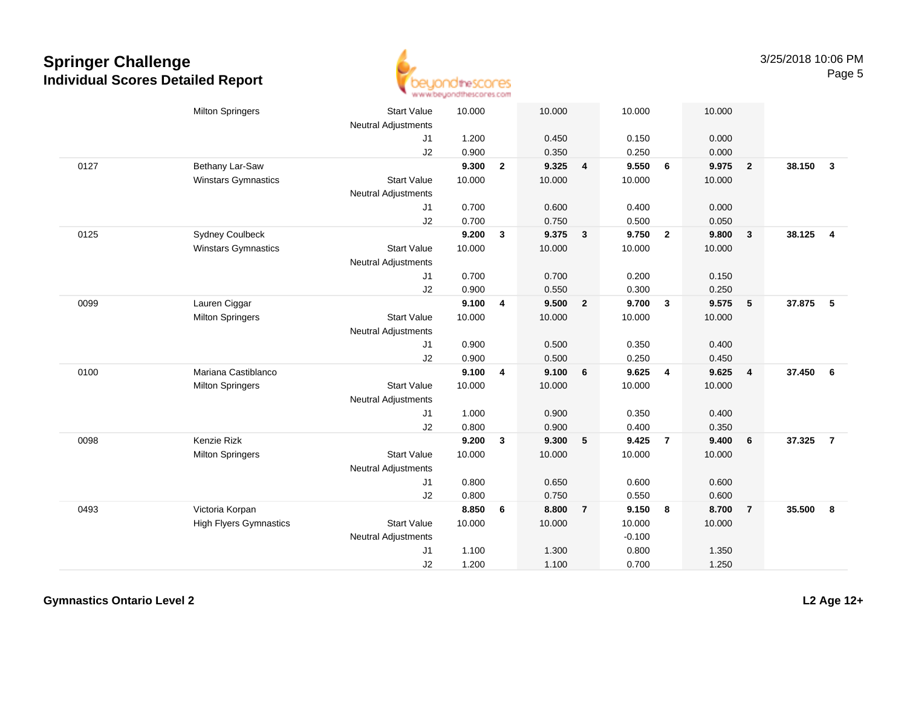

|      | <b>Milton Springers</b>       | <b>Start Value</b><br><b>Neutral Adjustments</b> | 10.000 |              | 10.000 |                         | 10.000   |                         | 10.000 |                         |        |                         |
|------|-------------------------------|--------------------------------------------------|--------|--------------|--------|-------------------------|----------|-------------------------|--------|-------------------------|--------|-------------------------|
|      |                               | J1                                               | 1.200  |              | 0.450  |                         | 0.150    |                         | 0.000  |                         |        |                         |
|      |                               | J2                                               | 0.900  |              | 0.350  |                         | 0.250    |                         | 0.000  |                         |        |                         |
| 0127 | Bethany Lar-Saw               |                                                  | 9.300  | $\mathbf{2}$ | 9.325  | $\overline{\mathbf{4}}$ | 9.550    | 6                       | 9.975  | $\overline{\mathbf{2}}$ | 38.150 | $\overline{\mathbf{3}}$ |
|      | <b>Winstars Gymnastics</b>    | <b>Start Value</b>                               | 10.000 |              | 10.000 |                         | 10.000   |                         | 10.000 |                         |        |                         |
|      |                               | <b>Neutral Adjustments</b>                       |        |              |        |                         |          |                         |        |                         |        |                         |
|      |                               | J1                                               | 0.700  |              | 0.600  |                         | 0.400    |                         | 0.000  |                         |        |                         |
|      |                               | J2                                               | 0.700  |              | 0.750  |                         | 0.500    |                         | 0.050  |                         |        |                         |
| 0125 | <b>Sydney Coulbeck</b>        |                                                  | 9.200  | $\mathbf{3}$ | 9.375  | $\mathbf{3}$            | 9.750    | $\overline{\mathbf{2}}$ | 9.800  | $\mathbf{3}$            | 38.125 | $\overline{\mathbf{4}}$ |
|      | <b>Winstars Gymnastics</b>    | <b>Start Value</b>                               | 10.000 |              | 10.000 |                         | 10.000   |                         | 10.000 |                         |        |                         |
|      |                               | <b>Neutral Adjustments</b>                       |        |              |        |                         |          |                         |        |                         |        |                         |
|      |                               | J1                                               | 0.700  |              | 0.700  |                         | 0.200    |                         | 0.150  |                         |        |                         |
|      |                               | J2                                               | 0.900  |              | 0.550  |                         | 0.300    |                         | 0.250  |                         |        |                         |
| 0099 | Lauren Ciggar                 |                                                  | 9.100  | 4            | 9.500  | $\overline{2}$          | 9.700    | $\mathbf{3}$            | 9.575  | 5                       | 37.875 | 5                       |
|      | <b>Milton Springers</b>       | <b>Start Value</b>                               | 10.000 |              | 10.000 |                         | 10.000   |                         | 10.000 |                         |        |                         |
|      |                               | Neutral Adjustments                              |        |              |        |                         |          |                         |        |                         |        |                         |
|      |                               | J1                                               | 0.900  |              | 0.500  |                         | 0.350    |                         | 0.400  |                         |        |                         |
|      |                               | J2                                               | 0.900  |              | 0.500  |                         | 0.250    |                         | 0.450  |                         |        |                         |
| 0100 | Mariana Castiblanco           |                                                  | 9.100  | 4            | 9.100  | 6                       | 9.625    | $\overline{4}$          | 9.625  | $\overline{4}$          | 37.450 | 6                       |
|      | <b>Milton Springers</b>       | <b>Start Value</b>                               | 10.000 |              | 10.000 |                         | 10.000   |                         | 10.000 |                         |        |                         |
|      |                               | Neutral Adjustments                              |        |              |        |                         |          |                         |        |                         |        |                         |
|      |                               | J1                                               | 1.000  |              | 0.900  |                         | 0.350    |                         | 0.400  |                         |        |                         |
|      |                               | J2                                               | 0.800  |              | 0.900  |                         | 0.400    |                         | 0.350  |                         |        |                         |
| 0098 | Kenzie Rizk                   |                                                  | 9.200  | $\mathbf{3}$ | 9.300  | 5                       | 9.425    | $\overline{7}$          | 9.400  | 6                       | 37.325 | $\overline{7}$          |
|      | <b>Milton Springers</b>       | <b>Start Value</b>                               | 10.000 |              | 10.000 |                         | 10.000   |                         | 10.000 |                         |        |                         |
|      |                               | <b>Neutral Adjustments</b>                       |        |              |        |                         |          |                         |        |                         |        |                         |
|      |                               | J1                                               | 0.800  |              | 0.650  |                         | 0.600    |                         | 0.600  |                         |        |                         |
|      |                               | J2                                               | 0.800  |              | 0.750  |                         | 0.550    |                         | 0.600  |                         |        |                         |
| 0493 | Victoria Korpan               |                                                  | 8.850  | 6            | 8.800  | $\overline{7}$          | 9.150    | $\bf{8}$                | 8.700  | $\overline{7}$          | 35.500 | 8                       |
|      | <b>High Flyers Gymnastics</b> | <b>Start Value</b>                               | 10.000 |              | 10.000 |                         | 10.000   |                         | 10.000 |                         |        |                         |
|      |                               | Neutral Adjustments                              |        |              |        |                         | $-0.100$ |                         |        |                         |        |                         |
|      |                               | J1                                               | 1.100  |              | 1.300  |                         | 0.800    |                         | 1.350  |                         |        |                         |
|      |                               | J2                                               | 1.200  |              | 1.100  |                         | 0.700    |                         | 1.250  |                         |        |                         |

**Gymnastics Ontario Level 2**

**L2 Age 12+**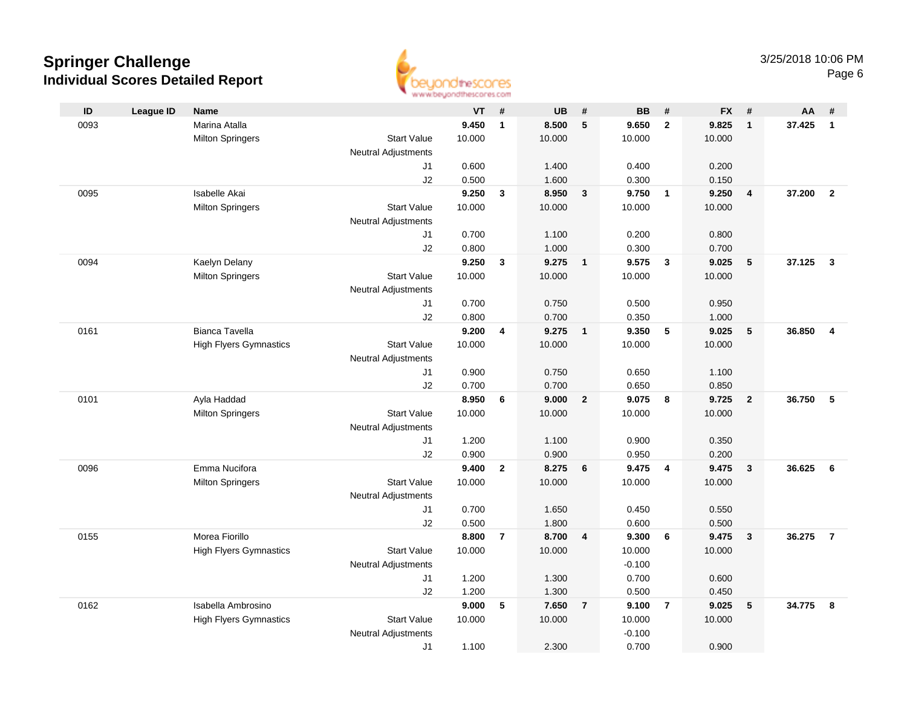

| ID   | <b>League ID</b> | Name                          |                            | VT             | #              | <b>UB</b>      | #                       | <b>BB</b>      | #              | <b>FX</b>      | #                       | AA     | #                       |
|------|------------------|-------------------------------|----------------------------|----------------|----------------|----------------|-------------------------|----------------|----------------|----------------|-------------------------|--------|-------------------------|
| 0093 |                  | Marina Atalla                 |                            | 9.450          | $\mathbf{1}$   | 8.500          | $\sqrt{5}$              | 9.650          | $\overline{2}$ | 9.825          | $\overline{1}$          | 37.425 | $\mathbf{1}$            |
|      |                  | <b>Milton Springers</b>       | <b>Start Value</b>         | 10.000         |                | 10.000         |                         | 10.000         |                | 10.000         |                         |        |                         |
|      |                  |                               | <b>Neutral Adjustments</b> |                |                |                |                         |                |                |                |                         |        |                         |
|      |                  |                               | J1                         | 0.600          |                | 1.400          |                         | 0.400          |                | 0.200          |                         |        |                         |
|      |                  |                               | J2                         | 0.500          |                | 1.600          |                         | 0.300          |                | 0.150          |                         |        |                         |
| 0095 |                  | Isabelle Akai                 |                            | 9.250          | $\mathbf{3}$   | 8.950          | $\overline{\mathbf{3}}$ | 9.750          | $\overline{1}$ | 9.250          | $\overline{\mathbf{4}}$ | 37.200 | $\overline{2}$          |
|      |                  | <b>Milton Springers</b>       | <b>Start Value</b>         | 10.000         |                | 10.000         |                         | 10.000         |                | 10.000         |                         |        |                         |
|      |                  |                               | <b>Neutral Adjustments</b> |                |                |                |                         |                |                |                |                         |        |                         |
|      |                  |                               | J1                         | 0.700          |                | 1.100          |                         | 0.200          |                | 0.800          |                         |        |                         |
|      |                  |                               | J2                         | 0.800          |                | 1.000          |                         | 0.300          |                | 0.700          |                         |        |                         |
| 0094 |                  | Kaelyn Delany                 |                            | 9.250          | $\mathbf{3}$   | 9.275          | $\overline{\mathbf{1}}$ | 9.575          | $\mathbf{3}$   | 9.025          | 5                       | 37.125 | $\overline{\mathbf{3}}$ |
|      |                  | <b>Milton Springers</b>       | <b>Start Value</b>         | 10.000         |                | 10.000         |                         | 10.000         |                | 10.000         |                         |        |                         |
|      |                  |                               | Neutral Adjustments        |                |                |                |                         |                |                |                |                         |        |                         |
|      |                  |                               | J1<br>J2                   | 0.700<br>0.800 |                | 0.750<br>0.700 |                         | 0.500<br>0.350 |                | 0.950<br>1.000 |                         |        |                         |
| 0161 |                  | <b>Bianca Tavella</b>         |                            | 9.200          | 4              | 9.275          | $\overline{1}$          | 9.350          | 5              | 9.025          | 5                       | 36.850 | $\overline{\mathbf{4}}$ |
|      |                  | <b>High Flyers Gymnastics</b> | <b>Start Value</b>         | 10.000         |                | 10.000         |                         | 10.000         |                | 10.000         |                         |        |                         |
|      |                  |                               | <b>Neutral Adjustments</b> |                |                |                |                         |                |                |                |                         |        |                         |
|      |                  |                               | J1                         | 0.900          |                | 0.750          |                         | 0.650          |                | 1.100          |                         |        |                         |
|      |                  |                               | J2                         | 0.700          |                | 0.700          |                         | 0.650          |                | 0.850          |                         |        |                         |
| 0101 |                  | Ayla Haddad                   |                            | 8.950          | 6              | 9.000          | $\overline{2}$          | 9.075          | 8              | 9.725          | $\overline{2}$          | 36.750 | 5                       |
|      |                  | <b>Milton Springers</b>       | <b>Start Value</b>         | 10.000         |                | 10.000         |                         | 10.000         |                | 10.000         |                         |        |                         |
|      |                  |                               | <b>Neutral Adjustments</b> |                |                |                |                         |                |                |                |                         |        |                         |
|      |                  |                               | J1                         | 1.200          |                | 1.100          |                         | 0.900          |                | 0.350          |                         |        |                         |
|      |                  |                               | J2                         | 0.900          |                | 0.900          |                         | 0.950          |                | 0.200          |                         |        |                         |
| 0096 |                  | Emma Nucifora                 |                            | 9.400          | $\mathbf{2}$   | 8.275          | 6                       | 9.475          | $\overline{4}$ | 9.475          | $\mathbf{3}$            | 36.625 | 6                       |
|      |                  | <b>Milton Springers</b>       | <b>Start Value</b>         | 10.000         |                | 10.000         |                         | 10.000         |                | 10.000         |                         |        |                         |
|      |                  |                               | Neutral Adjustments        |                |                |                |                         |                |                |                |                         |        |                         |
|      |                  |                               | J1                         | 0.700          |                | 1.650          |                         | 0.450          |                | 0.550          |                         |        |                         |
|      |                  |                               | J2                         | 0.500          |                | 1.800          |                         | 0.600          |                | 0.500          |                         |        |                         |
| 0155 |                  | Morea Fiorillo                |                            | 8.800          | $\overline{7}$ | 8.700          | $\overline{4}$          | 9.300          | 6              | 9.475          | $\mathbf{3}$            | 36.275 | $\overline{7}$          |
|      |                  | <b>High Flyers Gymnastics</b> | <b>Start Value</b>         | 10.000         |                | 10.000         |                         | 10.000         |                | 10.000         |                         |        |                         |
|      |                  |                               | <b>Neutral Adjustments</b> |                |                |                |                         | $-0.100$       |                |                |                         |        |                         |
|      |                  |                               | J1                         | 1.200          |                | 1.300          |                         | 0.700          |                | 0.600          |                         |        |                         |
|      |                  |                               | J2                         | 1.200          |                | 1.300          |                         | 0.500          |                | 0.450          |                         |        |                         |
| 0162 |                  | Isabella Ambrosino            |                            | 9.000          | 5              | 7.650          | $\overline{7}$          | 9.100          | $\overline{7}$ | 9.025          | 5                       | 34.775 | 8                       |
|      |                  | <b>High Flyers Gymnastics</b> | <b>Start Value</b>         | 10.000         |                | 10.000         |                         | 10.000         |                | 10.000         |                         |        |                         |
|      |                  |                               | <b>Neutral Adjustments</b> |                |                |                |                         | $-0.100$       |                |                |                         |        |                         |
|      |                  |                               | J1                         | 1.100          |                | 2.300          |                         | 0.700          |                | 0.900          |                         |        |                         |